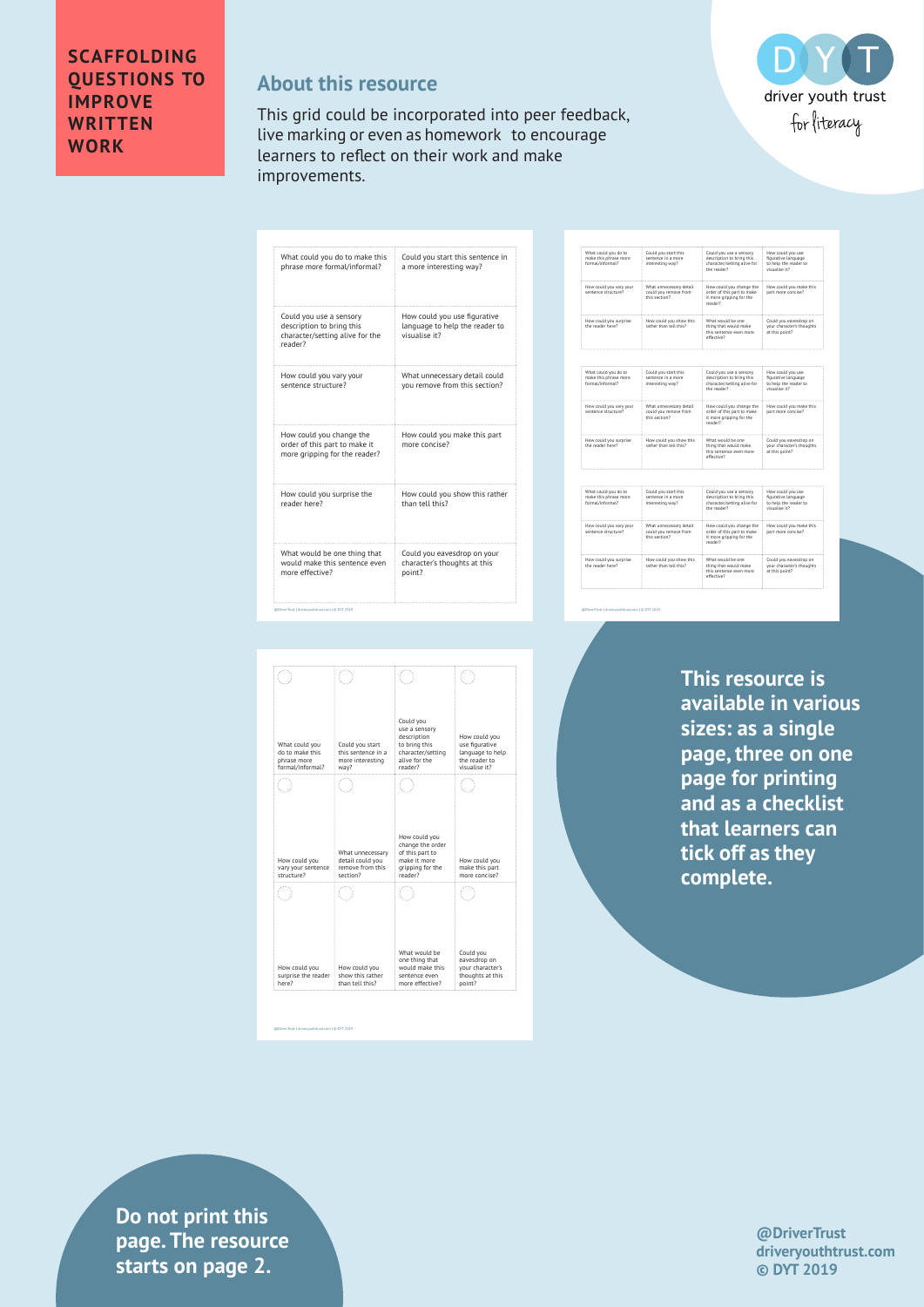## **About this resource**

This grid could be incorporated into peer feedback, live marking or even as homework to encourage learners to reflect on their work and make improvements.

| What could you do to make this                                                                     | Could you start this sentence in                                                |
|----------------------------------------------------------------------------------------------------|---------------------------------------------------------------------------------|
| phrase more formal/informal?                                                                       | a more interesting way?                                                         |
| Could you use a sensory<br>description to bring this<br>character/setting alive for the<br>reader? | How could you use figurative<br>language to help the reader to<br>visualise it? |
| How could you vary your                                                                            | What unnecessary detail could                                                   |
| sentence structure?                                                                                | you remove from this section?                                                   |
| How could you change the<br>order of this part to make it<br>more gripping for the reader?         | How could you make this part<br>more concise?                                   |
| How could you surprise the                                                                         | How could you show this rather                                                  |
| reader here?                                                                                       | than tell this?                                                                 |
| What would be one thing that                                                                       | Could you eavesdrop on your                                                     |
| would make this sentence even                                                                      | character's thoughts at this                                                    |
| more effective?                                                                                    | point?                                                                          |

| Could you start this<br>sentence in a more<br>interesting way?     | Could you use a sensory<br>description to bring this<br>character/setting alive for<br>the reader? | How could you use<br>figurative language<br>to help the reader to<br>visualise it? |
|--------------------------------------------------------------------|----------------------------------------------------------------------------------------------------|------------------------------------------------------------------------------------|
| What unnecessary detail<br>could you remove from<br>this section?  | How could you change the<br>order of this part to make<br>it more gripping for the<br>reader?      | How could you make this<br>part more concise?                                      |
| How could you show this<br>rather than tell this?                  | What would be one<br>thing that would make<br>this sentence even more<br>effective?                | Could you eavesdrop on<br>your character's thoughts<br>at this point?              |
|                                                                    |                                                                                                    |                                                                                    |
| Could you start this<br>sentence in a more<br>interesting way?     | Could you use a sensory<br>description to bring this<br>character/setting alive for<br>the reader? | How could you use<br>figurative language<br>to help the reader to<br>visualise it? |
| What unnecessary detail.<br>could you remove from<br>this section? | How could you change the<br>order of this part to make<br>it more gripping for the<br>reader?      | How could you make this<br>part more concise?                                      |
| How could you show this<br>rather than tell this?                  | What would be one<br>thing that would make<br>this sentence even more<br>effective?                | Could you eavesdrop on<br>your character's thoughts<br>at this point?              |
|                                                                    |                                                                                                    |                                                                                    |
| Could you start this<br>sentence in a more<br>interesting way?     | Could you use a sensory<br>description to bring this<br>character/setting alive for<br>the reader? | How could you use<br>figurative language<br>to help the reader to<br>visualise it? |
| What unnecessary detail<br>could you remove from<br>this section?  | How could you change the<br>order of this part to make<br>it more gripping for the<br>reader?      | How could you make this<br>part more concise?                                      |
| How could you show this<br>rather than tell this?                  | What would be one<br>thing that would make<br>this sentence even more<br>effective?                | Could you eavesdrop on<br>your character's thoughts<br>at this point?              |
|                                                                    |                                                                                                    |                                                                                    |

DO

driver youth trust for literacy

@DriverTrust | driveryouthtrust.com | © DYT 2019

| What could you<br>do to make this<br>phrase more<br>formal/informal? | Could you start<br>this sentence in a<br>more interesting<br>way?    | Could you<br>use a sensory<br>description<br>to bring this<br>character/setting<br>alive for the<br>reader? | How could you<br>use figurative<br>language to help<br>the reader to<br>visualise it? |
|----------------------------------------------------------------------|----------------------------------------------------------------------|-------------------------------------------------------------------------------------------------------------|---------------------------------------------------------------------------------------|
|                                                                      |                                                                      |                                                                                                             |                                                                                       |
| How could you<br>vary your sentence<br>structure?                    | What unnecessary<br>detail could you<br>remove from this<br>section? | How could you<br>change the order<br>of this part to<br>make it more<br>gripping for the<br>reader?         | How could you<br>make this part<br>more concise?                                      |
|                                                                      |                                                                      |                                                                                                             |                                                                                       |
| How could you<br>surprise the reader<br>here?                        | How could you<br>show this rather<br>than tell this?                 | What would be<br>one thing that<br>would make this<br>sentence even<br>more effective?                      | Could you<br>eavesdrop on<br>your character's<br>thoughts at this<br>point?           |

@DriverTrust | driveryouthtrust.com | © DYT 2019

**This resource is available in various sizes: as a single page, three on one page for printing and as a checklist that learners can tick off as they complete.**

**drivers in text** is tarts on page 2. **Do not print this page. The resource** 

## **@DriverTrust driveryouthtrust.com © DYT 2019**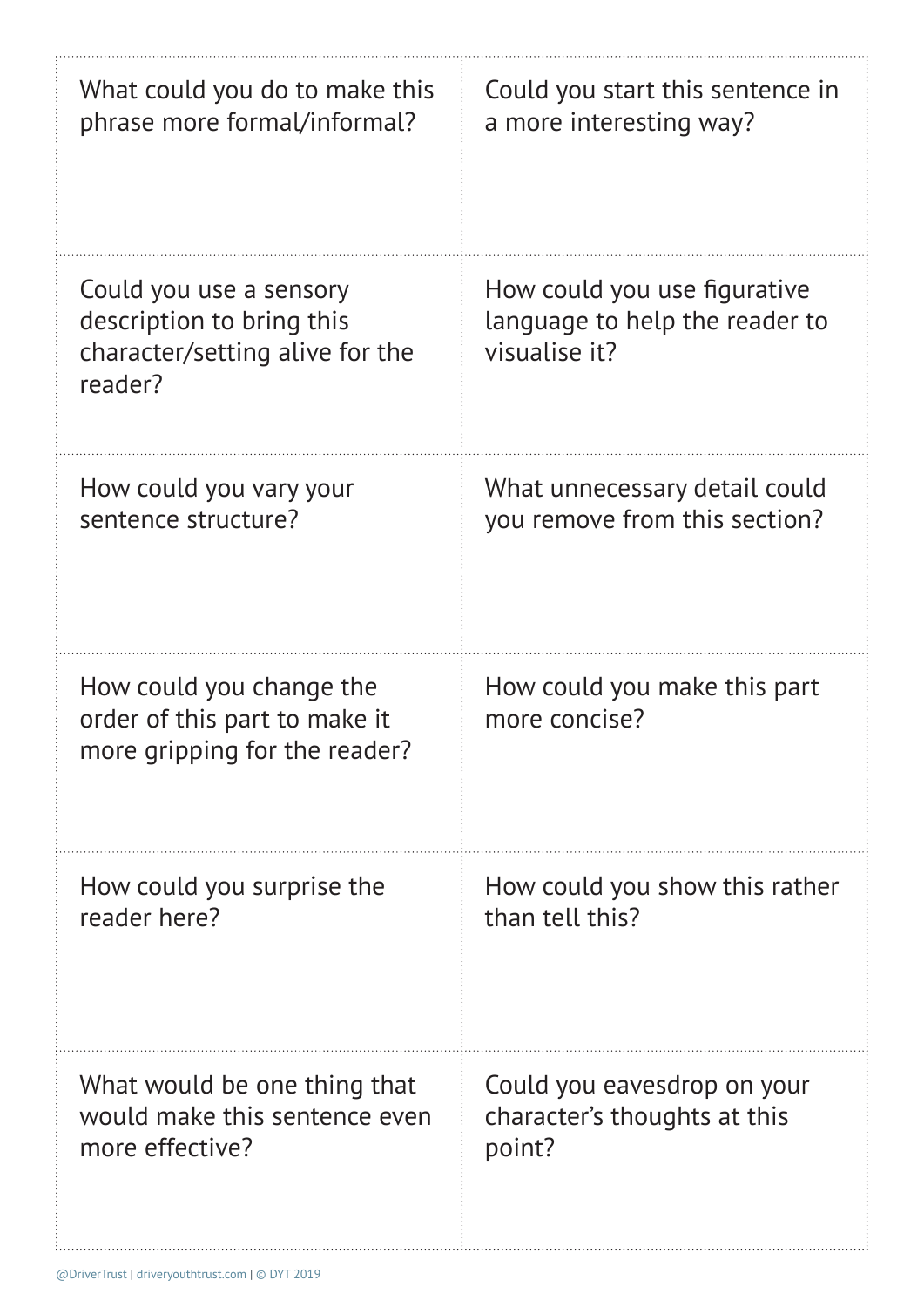| What could you do to make this                                                                     | Could you start this sentence in                                                |
|----------------------------------------------------------------------------------------------------|---------------------------------------------------------------------------------|
| phrase more formal/informal?                                                                       | a more interesting way?                                                         |
| Could you use a sensory<br>description to bring this<br>character/setting alive for the<br>reader? | How could you use figurative<br>language to help the reader to<br>visualise it? |
| How could you vary your                                                                            | What unnecessary detail could                                                   |
| sentence structure?                                                                                | you remove from this section?                                                   |
| How could you change the<br>order of this part to make it<br>more gripping for the reader?         | How could you make this part<br>more concise?                                   |
| How could you surprise the                                                                         | How could you show this rather                                                  |
| reader here?                                                                                       | than tell this?                                                                 |
| What would be one thing that                                                                       | Could you eavesdrop on your                                                     |
| would make this sentence even                                                                      | character's thoughts at this                                                    |
| more effective?                                                                                    | point?                                                                          |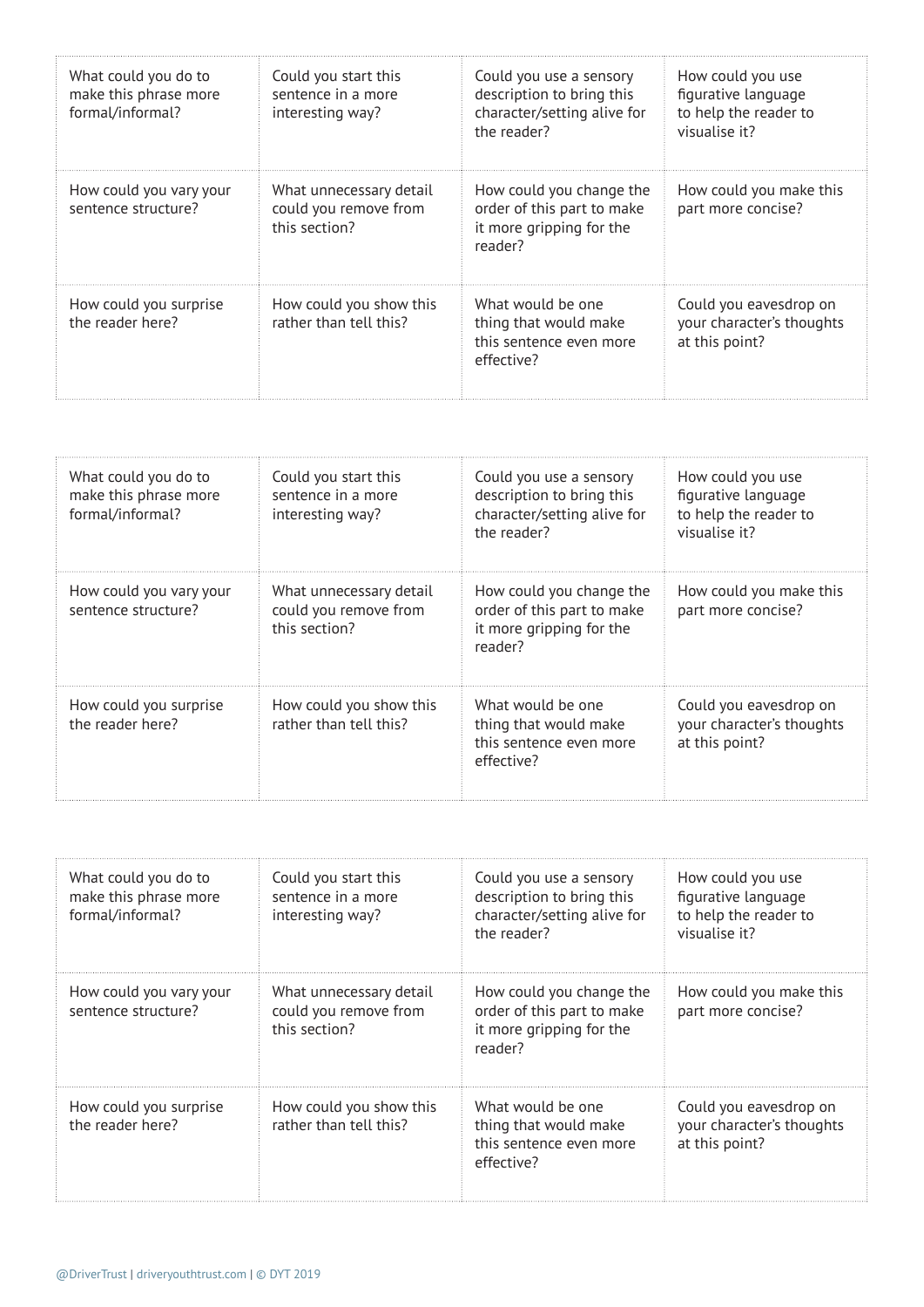| What could you do to<br>make this phrase more<br>formal/informal? | Could you start this<br>sentence in a more<br>interesting way?    | Could you use a sensory<br>description to bring this<br>character/setting alive for<br>the reader? | How could you use<br>figurative language<br>to help the reader to<br>visualise it? |
|-------------------------------------------------------------------|-------------------------------------------------------------------|----------------------------------------------------------------------------------------------------|------------------------------------------------------------------------------------|
| How could you vary your<br>sentence structure?                    | What unnecessary detail<br>could you remove from<br>this section? | How could you change the<br>order of this part to make<br>it more gripping for the<br>reader?      | How could you make this<br>part more concise?                                      |
| How could you surprise<br>the reader here?                        | How could you show this<br>rather than tell this?                 | What would be one<br>thing that would make<br>this sentence even more<br>effective?                | Could you eavesdrop on<br>your character's thoughts<br>at this point?              |

| What could you do to<br>make this phrase more<br>formal/informal? | Could you start this<br>sentence in a more<br>interesting way?    | Could you use a sensory<br>description to bring this<br>character/setting alive for<br>the reader? | How could you use<br>figurative language<br>to help the reader to<br>visualise it? |
|-------------------------------------------------------------------|-------------------------------------------------------------------|----------------------------------------------------------------------------------------------------|------------------------------------------------------------------------------------|
| How could you vary your<br>sentence structure?                    | What unnecessary detail<br>could you remove from<br>this section? | How could you change the<br>order of this part to make<br>it more gripping for the<br>reader?      | How could you make this<br>part more concise?                                      |
| How could you surprise<br>the reader here?                        | How could you show this<br>rather than tell this?                 | What would be one<br>thing that would make<br>this sentence even more<br>effective?                | Could you eavesdrop on<br>your character's thoughts<br>at this point?              |

| What could you do to<br>make this phrase more<br>formal/informal? | Could you start this<br>sentence in a more<br>interesting way?    | Could you use a sensory<br>description to bring this<br>character/setting alive for<br>the reader? | How could you use<br>figurative language<br>to help the reader to<br>visualise it? |
|-------------------------------------------------------------------|-------------------------------------------------------------------|----------------------------------------------------------------------------------------------------|------------------------------------------------------------------------------------|
| How could you vary your<br>sentence structure?                    | What unnecessary detail<br>could you remove from<br>this section? | How could you change the<br>order of this part to make<br>it more gripping for the<br>reader?      | How could you make this<br>part more concise?                                      |
| How could you surprise<br>the reader here?                        | How could you show this<br>rather than tell this?                 | What would be one<br>thing that would make<br>this sentence even more<br>effective?                | Could you eavesdrop on<br>your character's thoughts<br>at this point?              |